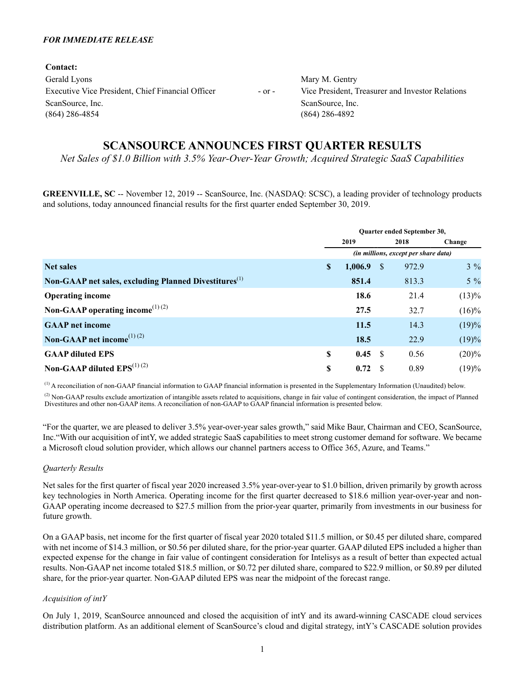#### *FOR IMMEDIATE RELEASE*

**Contact:** Gerald Lyons Mary M. Gentry Executive Vice President, Chief Financial Officer - or - Vice President, Treasurer and Investor Relations ScanSource, Inc. ScanSource, Inc. ScanSource, Inc. (864) 286-4854 (864) 286-4892

## **SCANSOURCE ANNOUNCES FIRST QUARTER RESULTS**

*Net Sales of \$1.0 Billion with 3.5% Year-Over-Year Growth; Acquired Strategic SaaS Capabilities*

**GREENVILLE, SC** -- November 12, 2019 -- ScanSource, Inc. (NASDAQ: SCSC), a leading provider of technology products and solutions, today announced financial results for the first quarter ended September 30, 2019.

|                                                                   |                           | Quarter ended September 30, |      |                                             |          |
|-------------------------------------------------------------------|---------------------------|-----------------------------|------|---------------------------------------------|----------|
|                                                                   |                           | 2019                        | 2018 |                                             |          |
|                                                                   |                           |                             |      | <i>(in millions, except per share data)</i> |          |
| <b>Net sales</b>                                                  | \$                        | 1,006.9                     | - \$ | 972.9                                       | $3\%$    |
| Non-GAAP net sales, excluding Planned Divestitures <sup>(1)</sup> |                           | 851.4                       |      | 813.3                                       | $5\%$    |
| <b>Operating income</b>                                           |                           | 18.6                        |      | 21.4                                        | (13)%    |
| Non-GAAP operating income <sup>(1)(2)</sup>                       |                           | 27.5                        |      | 32.7                                        | $(16)\%$ |
| <b>GAAP</b> net income                                            |                           | 11.5                        |      | 14.3                                        | (19)%    |
| Non-GAAP net income <sup>(1)(2)</sup>                             |                           | 18.5                        |      | 22.9                                        | (19)%    |
| <b>GAAP</b> diluted EPS                                           | $\boldsymbol{\mathsf{s}}$ | 0.45                        | - \$ | 0.56                                        | $(20)\%$ |
| Non-GAAP diluted $EPS^{(1)(2)}$                                   | \$                        | 0.72                        | - \$ | 0.89                                        | (19)%    |

(1) A reconciliation of non-GAAP financial information to GAAP financial information is presented in the Supplementary Information (Unaudited) below.

<sup>(2)</sup> Non-GAAP results exclude amortization of intangible assets related to acquisitions, change in fair value of contingent consideration, the impact of Planned Divestitures and other non-GAAP items. A reconciliation of non-GAAP to GAAP financial information is presented below.

"For the quarter, we are pleased to deliver 3.5% year-over-year sales growth," said Mike Baur, Chairman and CEO, ScanSource, Inc."With our acquisition of intY, we added strategic SaaS capabilities to meet strong customer demand for software. We became a Microsoft cloud solution provider, which allows our channel partners access to Office 365, Azure, and Teams."

#### *Quarterly Results*

Net sales for the first quarter of fiscal year 2020 increased 3.5% year-over-year to \$1.0 billion, driven primarily by growth across key technologies in North America. Operating income for the first quarter decreased to \$18.6 million year-over-year and non-GAAP operating income decreased to \$27.5 million from the prior-year quarter, primarily from investments in our business for future growth.

On a GAAPbasis, net income for the first quarter of fiscal year 2020 totaled \$11.5 million, or \$0.45 per diluted share, compared with net income of \$14.3 million, or \$0.56 per diluted share, for the prior-year quarter. GAAP diluted EPS included a higher than expected expense for the change in fair value of contingent consideration for Intelisys as a result of better than expected actual results. Non-GAAPnet income totaled \$18.5 million, or \$0.72 per diluted share, compared to \$22.9 million, or \$0.89 per diluted share, for the prior-year quarter. Non-GAAP diluted EPS was near the midpoint of the forecast range.

#### *Acquisition of intY*

On July 1, 2019, ScanSource announced and closed the acquisition of intY and its award-winning CASCADE cloud services distribution platform. As an additional element of ScanSource's cloud and digital strategy, intY's CASCADE solution provides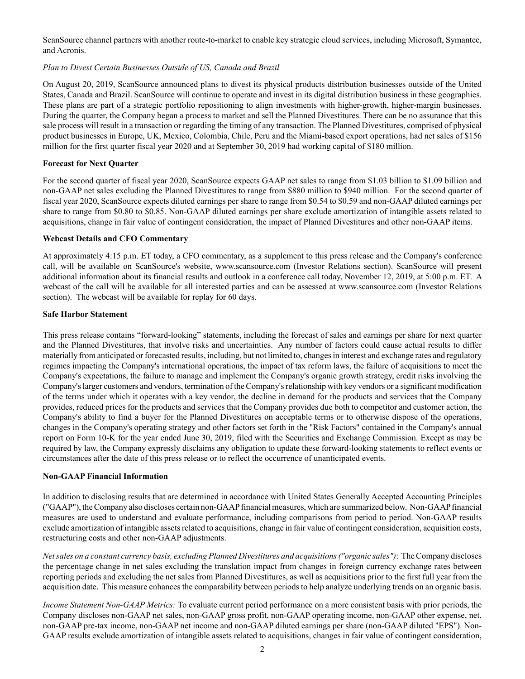ScanSource channel partners with another route-to-market to enable key strategic cloud services, including Microsoft, Symantec, and Acronis.

## *Plan to Divest Certain Businesses Outside of US, Canada and Brazil*

On August 20, 2019, ScanSource announced plans to divest its physical products distribution businesses outside of the United States, Canada and Brazil. ScanSource will continue to operate and invest in its digital distribution business in these geographies. These plans are part of a strategic portfolio repositioning to align investments with higher-growth, higher-margin businesses. During the quarter, the Company began a process to market and sell the Planned Divestitures. There can be no assurance that this sale process will result in a transaction or regarding the timing of any transaction. The Planned Divestitures, comprised of physical product businesses in Europe, UK, Mexico, Colombia, Chile, Peru and the Miami-based export operations, had net sales of \$156 million for the first quarter fiscal year 2020 and at September 30, 2019 had working capital of \$180 million.

## **Forecast for Next Quarter**

For the second quarter of fiscal year 2020, ScanSource expects GAAP net sales to range from \$1.03 billion to \$1.09 billion and non-GAAP net sales excluding the Planned Divestitures to range from \$880 million to \$940 million. For the second quarter of fiscal year 2020, ScanSource expects diluted earnings per share to range from \$0.54 to \$0.59 and non-GAAPdiluted earnings per share to range from \$0.80 to \$0.85. Non-GAAP diluted earnings per share exclude amortization of intangible assets related to acquisitions, change in fair value of contingent consideration, the impact of Planned Divestitures and other non-GAAP items.

## **Webcast Details and CFO Commentary**

At approximately 4:15 p.m. ET today, a CFO commentary, as a supplement to this press release and the Company's conference call, will be available on ScanSource's website, www.scansource.com (Investor Relations section). ScanSource will present additional information about its financial results and outlook in a conference call today, November 12, 2019, at 5:00 p.m. ET. A webcast of the call will be available for all interested parties and can be assessed at www.scansource.com (Investor Relations section). The webcast will be available for replay for 60 days.

## **Safe Harbor Statement**

This press release contains "forward-looking" statements, including the forecast of sales and earnings per share for next quarter and the Planned Divestitures, that involve risks and uncertainties. Any number of factors could cause actual results to differ materially from anticipated or forecasted results, including, but not limited to, changes in interest and exchange rates and regulatory regimes impacting the Company's international operations, the impact of tax reform laws, the failure of acquisitions to meet the Company's expectations, the failure to manage and implement the Company's organic growth strategy, credit risks involving the Company's larger customers and vendors, termination of the Company's relationship with key vendors or a significant modification of the terms under which it operates with a key vendor, the decline in demand for the products and services that the Company provides, reduced prices for the products and services that the Company provides due both to competitor and customer action, the Company's ability to find a buyer for the Planned Divestitures on acceptable terms or to otherwise dispose of the operations, changes in the Company's operating strategy and other factors set forth in the "Risk Factors" contained in the Company's annual report on Form 10-K for the year ended June 30, 2019, filed with the Securities and Exchange Commission. Except as may be required by law, the Company expressly disclaims any obligation to update these forward-looking statements to reflect events or circumstances after the date of this press release or to reflect the occurrence of unanticipated events.

## **Non-GAAP Financial Information**

In addition to disclosing results that are determined in accordance with United States Generally Accepted Accounting Principles ("GAAP"), the Company also discloses certain non-GAAPfinancial measures, which are summarized below. Non-GAAPfinancial measures are used to understand and evaluate performance, including comparisons from period to period. Non-GAAP results exclude amortization of intangible assets related to acquisitions, change in fair value of contingent consideration, acquisition costs, restructuring costs and other non-GAAP adjustments.

*Net sales on a constant currency basis, excluding Planned Divestitures and acquisitions ("organic sales")*: The Company discloses the percentage change in net sales excluding the translation impact from changes in foreign currency exchange rates between reporting periods and excluding the net sales from Planned Divestitures, as well as acquisitions prior to the first full year from the acquisition date. This measure enhances the comparability between periods to help analyze underlying trends on an organic basis.

*Income Statement Non-GAAP Metrics:* To evaluate current period performance on a more consistent basis with prior periods, the Company discloses non-GAAP net sales, non-GAAP gross profit, non-GAAP operating income, non-GAAP other expense, net, non-GAAP pre-tax income, non-GAAP net income and non-GAAP diluted earnings per share (non-GAAP diluted "EPS"). Non-GAAPresults exclude amortization of intangible assets related to acquisitions, changes in fair value of contingent consideration,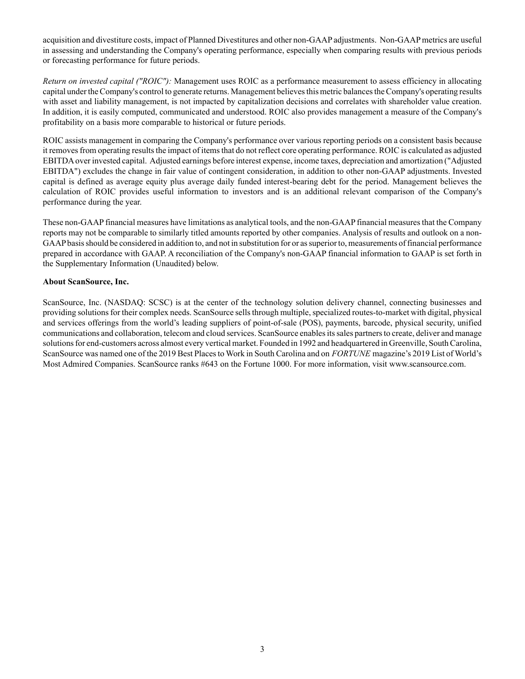acquisition and divestiture costs, impact of Planned Divestitures and other non-GAAP adjustments. Non-GAAP metrics are useful in assessing and understanding the Company's operating performance, especially when comparing results with previous periods or forecasting performance for future periods.

*Return on invested capital ("ROIC"):* Management uses ROIC as a performance measurement to assess efficiency in allocating capital under the Company's control to generate returns. Management believes this metric balances the Company's operating results with asset and liability management, is not impacted by capitalization decisions and correlates with shareholder value creation. In addition, it is easily computed, communicated and understood. ROIC also provides management a measure of the Company's profitability on a basis more comparable to historical or future periods.

ROIC assists management in comparing the Company's performance over various reporting periods on a consistent basis because it removes from operating results the impact of items that do not reflect core operating performance. ROIC is calculated as adjusted EBITDAover invested capital. Adjusted earnings before interest expense, income taxes, depreciation and amortization ("Adjusted EBITDA") excludes the change in fair value of contingent consideration, in addition to other non-GAAP adjustments. Invested capital is defined as average equity plus average daily funded interest-bearing debt for the period. Management believes the calculation of ROIC provides useful information to investors and is an additional relevant comparison of the Company's performance during the year.

These non-GAAPfinancial measures have limitations as analytical tools, and the non-GAAPfinancial measures that the Company reports may not be comparable to similarly titled amounts reported by other companies. Analysis of results and outlook on a non-GAAPbasis should be considered in addition to, and not in substitution for or as superior to, measurements of financial performance prepared in accordance with GAAP. A reconciliation of the Company's non-GAAP financial information to GAAP is set forth in the Supplementary Information (Unaudited) below.

## **About ScanSource, Inc.**

ScanSource, Inc. (NASDAQ: SCSC) is at the center of the technology solution delivery channel, connecting businesses and providing solutions for their complex needs. ScanSource sells through multiple, specialized routes-to-market with digital, physical and services offerings from the world's leading suppliers of point-of-sale (POS), payments, barcode, physical security, unified communications and collaboration, telecom and cloud services. ScanSource enables its sales partners to create, deliver and manage solutions for end-customers across almost every vertical market. Founded in 1992 and headquartered in Greenville, South Carolina, ScanSource was named one of the 2019 Best Places to Work in South Carolina and on *FORTUNE* magazine's 2019 List of World's Most Admired Companies. ScanSource ranks #643 on the Fortune 1000. For more information, visit www.scansource.com.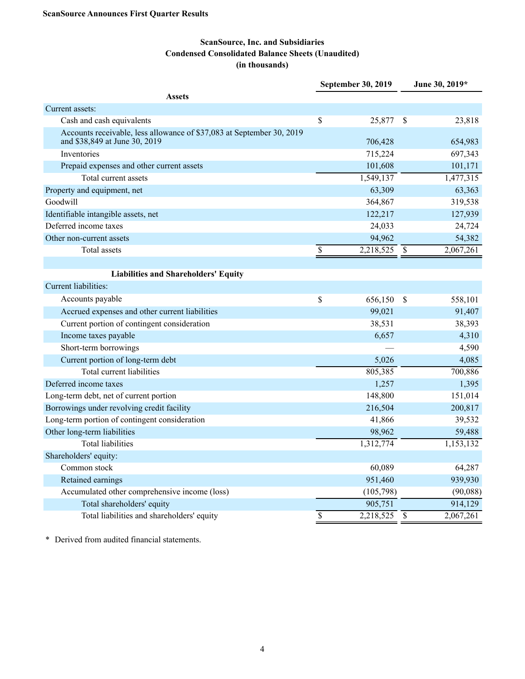## **ScanSource, Inc. and Subsidiaries Condensed Consolidated Balance Sheets (Unaudited) (in thousands)**

|                                                                                                        |                 | September 30, 2019 |                           | June 30, 2019* |
|--------------------------------------------------------------------------------------------------------|-----------------|--------------------|---------------------------|----------------|
| Assets                                                                                                 |                 |                    |                           |                |
| Current assets:                                                                                        |                 |                    |                           |                |
| Cash and cash equivalents                                                                              | \$              | 25,877             | $\boldsymbol{\mathsf{S}}$ | 23,818         |
| Accounts receivable, less allowance of \$37,083 at September 30, 2019<br>and \$38,849 at June 30, 2019 |                 | 706,428            |                           | 654,983        |
| Inventories                                                                                            |                 | 715,224            |                           | 697,343        |
| Prepaid expenses and other current assets                                                              |                 | 101,608            |                           | 101,171        |
| Total current assets                                                                                   |                 | 1,549,137          |                           | 1,477,315      |
| Property and equipment, net                                                                            |                 | 63,309             |                           | 63,363         |
| Goodwill                                                                                               |                 | 364,867            |                           | 319,538        |
| Identifiable intangible assets, net                                                                    |                 | 122,217            |                           | 127,939        |
| Deferred income taxes                                                                                  |                 | 24,033             |                           | 24,724         |
| Other non-current assets                                                                               |                 | 94,962             |                           | 54,382         |
| Total assets                                                                                           | \$              | 2,218,525          | $\boldsymbol{\mathsf{S}}$ | 2,067,261      |
|                                                                                                        |                 |                    |                           |                |
| Liabilities and Shareholders' Equity                                                                   |                 |                    |                           |                |
| Current liabilities:                                                                                   |                 |                    |                           |                |
| Accounts payable                                                                                       | \$              | 656,150            | $\boldsymbol{\mathsf{S}}$ | 558,101        |
| Accrued expenses and other current liabilities                                                         |                 | 99,021             |                           | 91,407         |
| Current portion of contingent consideration                                                            |                 | 38,531             |                           | 38,393         |
| Income taxes payable                                                                                   |                 | 6,657              |                           | 4,310          |
| Short-term borrowings                                                                                  |                 |                    |                           | 4,590          |
| Current portion of long-term debt                                                                      |                 | 5,026              |                           | 4,085          |
| Total current liabilities                                                                              |                 | 805,385            |                           | 700,886        |
| Deferred income taxes                                                                                  |                 | 1,257              |                           | 1,395          |
| Long-term debt, net of current portion                                                                 |                 | 148,800            |                           | 151,014        |
| Borrowings under revolving credit facility                                                             |                 | 216,504            |                           | 200,817        |
| Long-term portion of contingent consideration                                                          |                 | 41,866             |                           | 39,532         |
| Other long-term liabilities                                                                            |                 | 98,962             |                           | 59,488         |
| <b>Total liabilities</b>                                                                               |                 | 1,312,774          |                           | 1,153,132      |
| Shareholders' equity:                                                                                  |                 |                    |                           |                |
| Common stock                                                                                           |                 | 60,089             |                           | 64,287         |
| Retained earnings                                                                                      |                 | 951,460            |                           | 939,930        |
| Accumulated other comprehensive income (loss)                                                          |                 | (105,798)          |                           | (90,088)       |
| Total shareholders' equity                                                                             |                 | 905,751            |                           | 914,129        |
| Total liabilities and shareholders' equity                                                             | $\overline{\$}$ | 2,218,525          | $\overline{\$}$           | 2,067,261      |

\* Derived from audited financial statements.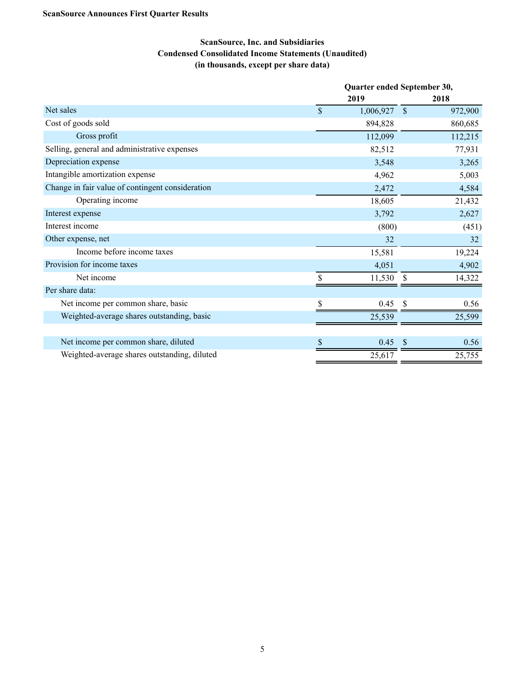## **ScanSource, Inc. and Subsidiaries Condensed Consolidated Income Statements (Unaudited) (in thousands, except per share data)**

|                                                  |                    | Quarter ended September 30, |               |         |
|--------------------------------------------------|--------------------|-----------------------------|---------------|---------|
|                                                  |                    | 2019                        |               | 2018    |
| Net sales                                        | $\mathbf{\hat{S}}$ | 1,006,927                   | $\mathbf{\$}$ | 972,900 |
| Cost of goods sold                               |                    | 894,828                     |               | 860,685 |
| Gross profit                                     |                    | 112,099                     |               | 112,215 |
| Selling, general and administrative expenses     |                    | 82,512                      |               | 77,931  |
| Depreciation expense                             |                    | 3,548                       |               | 3,265   |
| Intangible amortization expense                  |                    | 4,962                       |               | 5,003   |
| Change in fair value of contingent consideration |                    | 2,472                       |               | 4,584   |
| Operating income                                 |                    | 18,605                      |               | 21,432  |
| Interest expense                                 |                    | 3,792                       |               | 2,627   |
| Interest income                                  |                    | (800)                       |               | (451)   |
| Other expense, net                               |                    | 32                          |               | 32      |
| Income before income taxes                       |                    | 15,581                      |               | 19,224  |
| Provision for income taxes                       |                    | 4,051                       |               | 4,902   |
| Net income                                       | \$                 | 11,530                      | \$            | 14,322  |
| Per share data:                                  |                    |                             |               |         |
| Net income per common share, basic               |                    | 0.45                        | S             | 0.56    |
| Weighted-average shares outstanding, basic       |                    | 25,539                      |               | 25,599  |
|                                                  |                    |                             |               |         |
| Net income per common share, diluted             |                    | 0.45                        | -S            | 0.56    |
| Weighted-average shares outstanding, diluted     |                    | 25,617                      |               | 25,755  |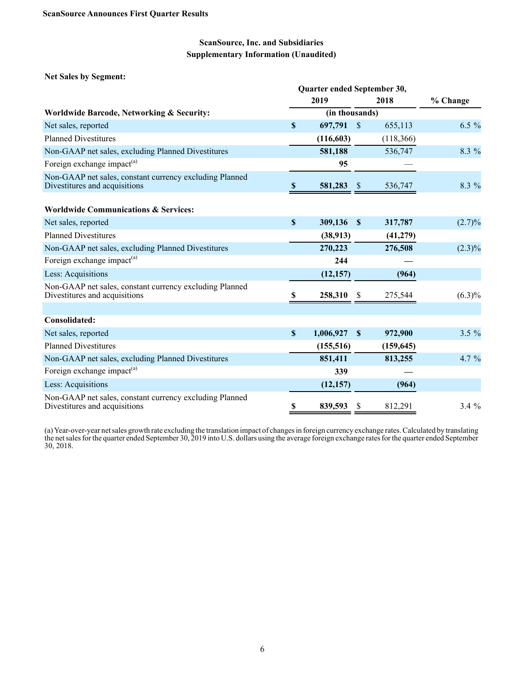## **ScanSource, Inc. and Subsidiaries Supplementary Information (Unaudited)**

**Net Sales by Segment:**

|                                                                                          | Quarter ended September 30, |                |                    |            |           |
|------------------------------------------------------------------------------------------|-----------------------------|----------------|--------------------|------------|-----------|
| 2019                                                                                     |                             |                |                    | 2018       | % Change  |
| <b>Worldwide Barcode, Networking &amp; Security:</b>                                     |                             | (in thousands) |                    |            |           |
| Net sales, reported                                                                      | $\mathbf{s}$                | 697,791        | $\mathbf{\hat{s}}$ | 655,113    | 6.5 $%$   |
| <b>Planned Divestitures</b>                                                              |                             | (116, 603)     |                    | (118,366)  |           |
| Non-GAAP net sales, excluding Planned Divestitures                                       |                             | 581,188        |                    | 536,747    | 8.3 %     |
| Foreign exchange impact <sup>(a)</sup>                                                   |                             | 95             |                    |            |           |
| Non-GAAP net sales, constant currency excluding Planned<br>Divestitures and acquisitions | $\mathbf{\$}$               | 581,283        | -S                 | 536,747    | 8.3 %     |
| <b>Worldwide Communications &amp; Services:</b>                                          |                             |                |                    |            |           |
| Net sales, reported                                                                      | $\mathbf{s}$                | 309,136        | <sup>S</sup>       | 317,787    | $(2.7)\%$ |
| <b>Planned Divestitures</b>                                                              |                             | (38, 913)      |                    | (41,279)   |           |
| Non-GAAP net sales, excluding Planned Divestitures                                       |                             | 270,223        |                    | 276,508    | $(2.3)\%$ |
| Foreign exchange impact <sup>(a)</sup>                                                   |                             | 244            |                    |            |           |
| Less: Acquisitions                                                                       |                             | (12, 157)      |                    | (964)      |           |
| Non-GAAP net sales, constant currency excluding Planned<br>Divestitures and acquisitions | S                           | 258,310        | <sup>S</sup>       | 275,544    | $(6.3)\%$ |
|                                                                                          |                             |                |                    |            |           |
| Consolidated:                                                                            |                             |                |                    |            |           |
| Net sales, reported                                                                      | S                           | 1,006,927      | $\mathbf{s}$       | 972,900    | $3.5\%$   |
| <b>Planned Divestitures</b>                                                              |                             | (155, 516)     |                    | (159, 645) |           |
| Non-GAAP net sales, excluding Planned Divestitures                                       |                             | 851,411        |                    | 813,255    | 4.7 $%$   |
| Foreign exchange impact <sup>(a)</sup>                                                   |                             | 339            |                    |            |           |
| Less: Acquisitions                                                                       |                             | (12, 157)      |                    | (964)      |           |
| Non-GAAP net sales, constant currency excluding Planned<br>Divestitures and acquisitions | \$                          | 839,593        | -S                 | 812,291    | 3.4%      |

(a) Year-over-year net sales growth rate excluding the translation impact of changes in foreign currency exchange rates. Calculated by translating the net sales for the quarter ended September 30, 2019 into U.S. dollars using the average foreign exchange rates for the quarter ended September 30, 2018.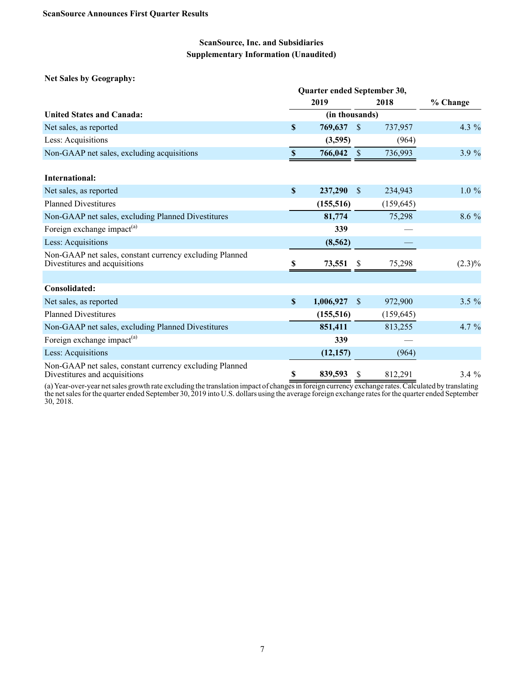## **ScanSource, Inc. and Subsidiaries Supplementary Information (Unaudited)**

**Net Sales by Geography:**

|                                                                                          | Quarter ended September 30, |            |                    |            |           |  |
|------------------------------------------------------------------------------------------|-----------------------------|------------|--------------------|------------|-----------|--|
|                                                                                          | 2019                        |            |                    | 2018       | % Change  |  |
| <b>United States and Canada:</b>                                                         |                             |            |                    |            |           |  |
| Net sales, as reported                                                                   | $\mathbf{\$}$               | 769,637    | $\mathbf{\hat{s}}$ | 737,957    | 4.3 %     |  |
| Less: Acquisitions                                                                       |                             | (3,595)    |                    | (964)      |           |  |
| Non-GAAP net sales, excluding acquisitions                                               | $\boldsymbol{\mathsf{S}}$   | 766,042    | $\mathcal{S}$      | 736,993    | 3.9 %     |  |
| International:                                                                           |                             |            |                    |            |           |  |
| Net sales, as reported                                                                   | $\mathbf{s}$                | 237,290    | <sup>\$</sup>      | 234,943    | $1.0\%$   |  |
| <b>Planned Divestitures</b>                                                              |                             | (155, 516) |                    | (159, 645) |           |  |
| Non-GAAP net sales, excluding Planned Divestitures                                       |                             | 81,774     |                    | 75,298     | 8.6 %     |  |
| Foreign exchange impact <sup>(a)</sup>                                                   |                             | 339        |                    |            |           |  |
| Less: Acquisitions                                                                       |                             | (8, 562)   |                    |            |           |  |
| Non-GAAP net sales, constant currency excluding Planned<br>Divestitures and acquisitions | S                           | 73,551     | \$.                | 75,298     | $(2.3)\%$ |  |
|                                                                                          |                             |            |                    |            |           |  |
| Consolidated:                                                                            |                             |            |                    |            |           |  |
| Net sales, as reported                                                                   | $\mathbf S$                 | 1,006,927  | <sup>\$</sup>      | 972,900    | $3.5 \%$  |  |
| <b>Planned Divestitures</b>                                                              |                             | (155, 516) |                    | (159, 645) |           |  |
| Non-GAAP net sales, excluding Planned Divestitures                                       |                             | 851,411    |                    | 813,255    | 4.7 %     |  |
| Foreign exchange impact <sup>(a)</sup>                                                   |                             | 339        |                    |            |           |  |
| Less: Acquisitions                                                                       |                             | (12, 157)  |                    | (964)      |           |  |
| Non-GAAP net sales, constant currency excluding Planned<br>Divestitures and acquisitions | \$                          | 839,593    | S                  | 812,291    | $3.4\%$   |  |

(a) Year-over-year net sales growth rate excluding the translation impact of changes in foreign currency exchange rates. Calculated by translating the net sales for the quarter ended September 30, 2019 into U.S. dollars using the average foreign exchange rates for the quarter ended September 30, 2018.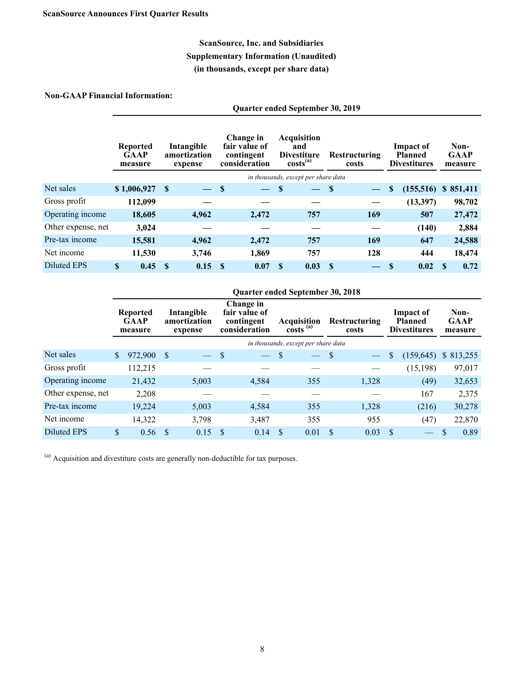# **ScanSource, Inc. and Subsidiaries Supplementary Information (Unaudited) (in thousands, except per share data)**

#### **Non-GAAP Financial Information:**

|                    | Quarter ended September 30, 2019          |                                       |          |                                                           |          |                                                                         |                               |                   |          |                                                           |                                |
|--------------------|-------------------------------------------|---------------------------------------|----------|-----------------------------------------------------------|----------|-------------------------------------------------------------------------|-------------------------------|-------------------|----------|-----------------------------------------------------------|--------------------------------|
|                    | <b>Reported</b><br><b>GAAP</b><br>measure | Intangible<br>amortization<br>expense |          | Change in<br>fair value of<br>contingent<br>consideration |          | <b>Acquisition</b><br>and<br><b>Divestiture</b><br>costs <sup>(a)</sup> | <b>Restructuring</b><br>costs |                   |          | <b>Impact of</b><br><b>Planned</b><br><b>Divestitures</b> | Non-<br><b>GAAP</b><br>measure |
|                    |                                           |                                       |          |                                                           |          | in thousands, except per share data                                     |                               |                   |          |                                                           |                                |
| Net sales          | \$1,006,927                               | <sup>\$</sup>                         | - \$     | $\overline{\phantom{m}}$                                  | - \$     | $\overline{\phantom{0}}$                                                | S                             | $\hspace{0.05cm}$ | \$       | (155,516)                                                 | \$851,411                      |
| Gross profit       | 112,099                                   |                                       |          |                                                           |          |                                                                         |                               |                   |          | (13,397)                                                  | 98,702                         |
| Operating income   | 18,605                                    | 4,962                                 |          | 2,472                                                     |          | 757                                                                     |                               | 169               |          | 507                                                       | 27,472                         |
| Other expense, net | 3,024                                     |                                       |          |                                                           |          |                                                                         |                               |                   |          | (140)                                                     | 2,884                          |
| Pre-tax income     | 15,581                                    | 4,962                                 |          | 2,472                                                     |          | 757                                                                     |                               | 169               |          | 647                                                       | 24,588                         |
| Net income         | 11,530                                    | 3,746                                 |          | 1,869                                                     |          | 757                                                                     |                               | 128               |          | 444                                                       | 18,474                         |
| <b>Diluted EPS</b> | \$<br>0.45                                | <b>S</b><br>0.15                      | <b>S</b> | 0.07                                                      | <b>S</b> | 0.03                                                                    | <b>S</b>                      |                   | <b>S</b> | 0.02                                                      | 0.72<br>$\mathbf{s}$           |

#### **Quarter ended September 30, 2018 Reported GAAP measure Intangible amortization expense Change in fair value of contingent consideration Acquisition costs (a) Restructuring costs Impact of Planned Divestitures Non-GAAP measure** *in thousands, except per share data* Net sales \$ 972,900 \$ — \$ — \$ — \$ (159,645) \$ 813,255 Gross profit 112,215 — — — — (15,198) 97,017 Operating income 21,432 5,003 4,584 355 1,328 (49) 32,653 Other expense, net 2,208 — — — — — 167 2,375 Pre-tax income 19,224 5,003 4,584 355 1,328 (216) 30,278 Net income 14,322 3,798 3,487 355 955 (47) 22,870 Diluted EPS  $\begin{array}{ccccccccccccc}\nS & 0.56 & S & 0.15 & S & 0.14 & S & 0.01 & S & 0.03 & S & - & S & 0.89\n\end{array}$

(a) Acquisition and divestiture costs are generally non-deductible for tax purposes.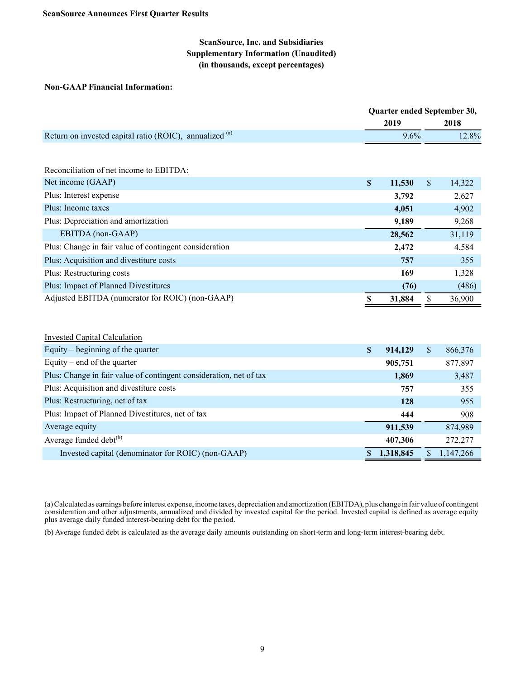## **ScanSource, Inc. and Subsidiaries Supplementary Information (Unaudited) (in thousands, except percentages)**

#### **Non-GAAP Financial Information:**

|                                                         |        | Quarter ended September 30, |
|---------------------------------------------------------|--------|-----------------------------|
|                                                         | 2019   | 2018                        |
| Return on invested capital ratio (ROIC), annualized (a) | 9.6%   | 12.8%                       |
|                                                         |        |                             |
|                                                         |        |                             |
| Reconciliation of net income to EBITDA:                 |        |                             |
| Net income (GAAP)                                       | 11,530 | 14.322                      |

| Plus: Interest expense<br>3,792<br>Plus: Income taxes<br>4,051<br>Plus: Depreciation and amortization<br>9,189<br>EBITDA (non-GAAP)<br>28,562<br>Plus: Change in fair value of contingent consideration<br>2.472 |        |
|------------------------------------------------------------------------------------------------------------------------------------------------------------------------------------------------------------------|--------|
|                                                                                                                                                                                                                  | 2,627  |
|                                                                                                                                                                                                                  | 4,902  |
|                                                                                                                                                                                                                  | 9,268  |
|                                                                                                                                                                                                                  | 31,119 |
|                                                                                                                                                                                                                  | 4,584  |
| Plus: Acquisition and divestiture costs<br>757                                                                                                                                                                   | 355    |
| Plus: Restructuring costs<br>169                                                                                                                                                                                 | 1,328  |
| Plus: Impact of Planned Divestitures<br>(76)                                                                                                                                                                     | (486)  |
| Adjusted EBITDA (numerator for ROIC) (non-GAAP)<br>31,884                                                                                                                                                        | 36,900 |

| Invested Capital Calculation                                       |               |              |           |
|--------------------------------------------------------------------|---------------|--------------|-----------|
| Equity – beginning of the quarter                                  | \$<br>914,129 | $\mathbb{S}$ | 866,376   |
| Equity – end of the quarter                                        | 905,751       |              | 877,897   |
| Plus: Change in fair value of contingent consideration, net of tax | 1,869         |              | 3,487     |
| Plus: Acquisition and divestiture costs                            | 757           |              | 355       |
| Plus: Restructuring, net of tax                                    | 128           |              | 955       |
| Plus: Impact of Planned Divestitures, net of tax                   | 444           |              | 908       |
| Average equity                                                     | 911,539       |              | 874,989   |
| Average funded debt <sup>(b)</sup>                                 | 407,306       |              | 272,277   |
| Invested capital (denominator for ROIC) (non-GAAP)                 | 1,318,845     |              | 1,147,266 |

(a) Calculated as earnings before interest expense, income taxes, depreciation and amortization (EBITDA), plus change in fair value of contingent consideration and other adjustments, annualized and divided by invested capital for the period. Invested capital is defined as average equity plus average daily funded interest-bearing debt for the period.

(b) Average funded debt is calculated as the average daily amounts outstanding on short-term and long-term interest-bearing debt.